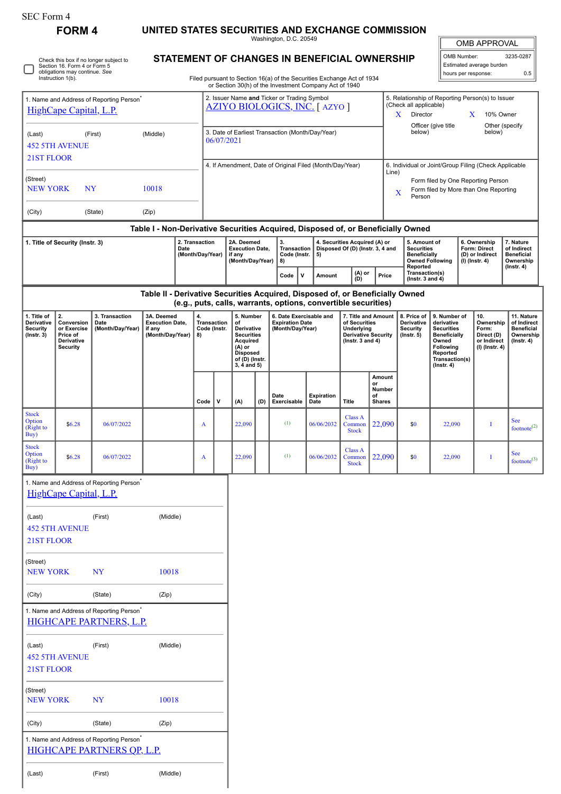(Last) (First) (Middle)

**FORM 4 UNITED STATES SECURITIES AND EXCHANGE COMMISSION** Washington, D.C. 20549

 $\sqrt{2}$ OMB APPROVAL

| OMB Number:              | 3235-0287 |
|--------------------------|-----------|
| Estimated average burden |           |
| hours per response:      | 0.5       |

**STATEMENT OF CHANGES IN BENEFICIAL OWNERSHIP**

|                                                                                        | Section 16. Form 4 or Form 5<br>obligations may continue. See<br>Instruction 1(b).                    | Check this box if no longer subject to               |                                                                               |                                                                    |                                                                                      |             |                                                      |                                                          | SIAIEMENT OF CHANGES IN BENEFICIAL OWNERSHIP<br>Filed pursuant to Section 16(a) of the Securities Exchange Act of 1934 |                                                                   |                                                                                                      |                                                                                                               |                                                |  |                                                                     |                                                            |                                                       | Estimated average burden<br>hours per response: | 0.5                                            |
|----------------------------------------------------------------------------------------|-------------------------------------------------------------------------------------------------------|------------------------------------------------------|-------------------------------------------------------------------------------|--------------------------------------------------------------------|--------------------------------------------------------------------------------------|-------------|------------------------------------------------------|----------------------------------------------------------|------------------------------------------------------------------------------------------------------------------------|-------------------------------------------------------------------|------------------------------------------------------------------------------------------------------|---------------------------------------------------------------------------------------------------------------|------------------------------------------------|--|---------------------------------------------------------------------|------------------------------------------------------------|-------------------------------------------------------|-------------------------------------------------|------------------------------------------------|
|                                                                                        |                                                                                                       |                                                      |                                                                               |                                                                    |                                                                                      |             |                                                      |                                                          | or Section 30(h) of the Investment Company Act of 1940                                                                 |                                                                   |                                                                                                      |                                                                                                               |                                                |  |                                                                     |                                                            |                                                       |                                                 |                                                |
| 1. Name and Address of Reporting Person <sup>®</sup><br>HighCape Capital, L.P.         |                                                                                                       |                                                      |                                                                               |                                                                    | 2. Issuer Name and Ticker or Trading Symbol<br><b>AZIYO BIOLOGICS, INC. [ AZYO ]</b> |             |                                                      |                                                          |                                                                                                                        |                                                                   |                                                                                                      | 5. Relationship of Reporting Person(s) to Issuer<br>(Check all applicable)<br>Director<br>10% Owner<br>X<br>X |                                                |  |                                                                     |                                                            |                                                       |                                                 |                                                |
| (First)<br>(Middle)<br>(Last)                                                          |                                                                                                       |                                                      |                                                                               | 3. Date of Earliest Transaction (Month/Day/Year)<br>06/07/2021     |                                                                                      |             |                                                      |                                                          |                                                                                                                        | Officer (give title<br>Other (specify<br>below)<br>below)         |                                                                                                      |                                                                                                               |                                                |  |                                                                     |                                                            |                                                       |                                                 |                                                |
| <b>452 5TH AVENUE</b><br>21ST FLOOR                                                    |                                                                                                       |                                                      |                                                                               |                                                                    |                                                                                      |             |                                                      |                                                          |                                                                                                                        |                                                                   |                                                                                                      |                                                                                                               |                                                |  |                                                                     |                                                            |                                                       |                                                 |                                                |
|                                                                                        |                                                                                                       |                                                      |                                                                               |                                                                    |                                                                                      |             |                                                      | 4. If Amendment, Date of Original Filed (Month/Day/Year) |                                                                                                                        |                                                                   |                                                                                                      |                                                                                                               | Line)                                          |  |                                                                     |                                                            | 6. Individual or Joint/Group Filing (Check Applicable |                                                 |                                                |
| (Street)<br><b>NEW YORK</b><br>NY<br>10018                                             |                                                                                                       |                                                      |                                                                               |                                                                    |                                                                                      |             |                                                      |                                                          |                                                                                                                        |                                                                   | Form filed by One Reporting Person<br>Form filed by More than One Reporting<br>$\mathbf X$<br>Person |                                                                                                               |                                                |  |                                                                     |                                                            |                                                       |                                                 |                                                |
| (City)                                                                                 |                                                                                                       | (State)                                              | (Zip)                                                                         |                                                                    |                                                                                      |             |                                                      |                                                          |                                                                                                                        |                                                                   |                                                                                                      |                                                                                                               |                                                |  |                                                                     |                                                            |                                                       |                                                 |                                                |
| Table I - Non-Derivative Securities Acquired, Disposed of, or Beneficially Owned       |                                                                                                       |                                                      |                                                                               |                                                                    |                                                                                      |             |                                                      |                                                          |                                                                                                                        |                                                                   |                                                                                                      |                                                                                                               |                                                |  |                                                                     |                                                            |                                                       |                                                 |                                                |
| 2. Transaction<br>1. Title of Security (Instr. 3)<br>Date<br>(Month/Day/Year)          |                                                                                                       |                                                      |                                                                               | 2A. Deemed<br><b>Execution Date,</b><br>if any<br>(Month/Day/Year) |                                                                                      | 3.          | Transaction<br>Code (Instr.<br>5)<br>8)              |                                                          |                                                                                                                        | 4. Securities Acquired (A) or<br>Disposed Of (D) (Instr. 3, 4 and |                                                                                                      | 5. Amount of<br><b>Securities</b><br><b>Beneficially</b>                                                      | <b>Owned Following</b>                         |  | 6. Ownership<br>Form: Direct<br>(D) or Indirect<br>$(I)$ (Instr. 4) | 7. Nature<br>of Indirect<br><b>Beneficial</b><br>Ownership |                                                       |                                                 |                                                |
|                                                                                        |                                                                                                       |                                                      |                                                                               |                                                                    |                                                                                      |             |                                                      |                                                          | Code                                                                                                                   | $\mathsf{v}$                                                      | Amount                                                                                               | (A) or<br>(D)                                                                                                 | Price                                          |  | Reported<br>Transaction(s)<br>(Instr. $3$ and $4$ )                 |                                                            |                                                       |                                                 | $($ Instr. 4 $)$                               |
|                                                                                        |                                                                                                       |                                                      | Table II - Derivative Securities Acquired, Disposed of, or Beneficially Owned |                                                                    |                                                                                      |             |                                                      |                                                          |                                                                                                                        |                                                                   |                                                                                                      |                                                                                                               |                                                |  |                                                                     |                                                            |                                                       |                                                 |                                                |
| (e.g., puts, calls, warrants, options, convertible securities)                         |                                                                                                       |                                                      |                                                                               |                                                                    |                                                                                      |             |                                                      |                                                          |                                                                                                                        |                                                                   |                                                                                                      |                                                                                                               |                                                |  |                                                                     |                                                            |                                                       |                                                 |                                                |
| 1. Title of<br>Derivative<br>Security                                                  | 2.<br>3A. Deemed<br>3. Transaction<br>Conversion<br>Date<br>or Exercise<br>(Month/Day/Year)<br>if any |                                                      | <b>Execution Date,</b>                                                        |                                                                    | 4.<br>Transaction<br>Code (Instr.                                                    |             | 5. Number<br>of<br>Derivative                        |                                                          | 6. Date Exercisable and<br><b>Expiration Date</b><br>(Month/Day/Year)                                                  |                                                                   |                                                                                                      | of Securities<br>Underlying                                                                                   | 7. Title and Amount                            |  | 8. Price of<br>Derivative<br><b>Security</b>                        | 9. Number of<br>derivative<br><b>Securities</b>            |                                                       | 10.<br>Ownership<br>Form:                       | 11. Nature<br>of Indirect<br><b>Beneficial</b> |
| $($ Instr. 3 $)$                                                                       | Price of<br>Derivative<br><b>Security</b>                                                             |                                                      | (Month/Day/Year)                                                              |                                                                    | 8)                                                                                   |             | <b>Securities</b><br>Acquired<br>$(A)$ or            |                                                          |                                                                                                                        |                                                                   |                                                                                                      | <b>Derivative Security</b><br>( $lnstr. 3 and 4$ )                                                            |                                                |  | $($ lnstr. 5 $)$                                                    | Beneficially<br>Owned<br>Following                         |                                                       | Direct (D)<br>or Indirect<br>(I) (Instr. 4)     | Ownership<br>$($ Instr. 4 $)$                  |
|                                                                                        |                                                                                                       |                                                      |                                                                               |                                                                    |                                                                                      |             | <b>Disposed</b><br>of (D) (Instr.<br>$3, 4$ and $5)$ |                                                          |                                                                                                                        |                                                                   |                                                                                                      |                                                                                                               | Reported<br>Transaction(s)<br>$($ Instr. 4 $)$ |  |                                                                     |                                                            |                                                       |                                                 |                                                |
|                                                                                        |                                                                                                       |                                                      |                                                                               |                                                                    |                                                                                      |             |                                                      |                                                          |                                                                                                                        |                                                                   |                                                                                                      |                                                                                                               | Amount<br>or                                   |  |                                                                     |                                                            |                                                       |                                                 |                                                |
|                                                                                        |                                                                                                       |                                                      |                                                                               |                                                                    | Code                                                                                 | $\mathbf v$ | (A)                                                  | (D)                                                      | Date<br>Exercisable                                                                                                    |                                                                   | <b>Expiration</b><br>Date                                                                            | Title                                                                                                         | Number<br>of<br><b>Shares</b>                  |  |                                                                     |                                                            |                                                       |                                                 |                                                |
| <b>Stock</b><br>Option<br>(Right to                                                    | \$6.28                                                                                                | 06/07/2022                                           |                                                                               |                                                                    | A                                                                                    |             | 22,090                                               |                                                          | (1)                                                                                                                    |                                                                   | 06/06/2032                                                                                           | <b>Class A</b><br>Common<br><b>Stock</b>                                                                      | 22,090                                         |  | \$0                                                                 | 22,090                                                     |                                                       | Ι                                               | <b>See</b><br>footnote <sup>(2)</sup>          |
| Buy)<br><b>Stock</b><br>Option<br>(Right to                                            | \$6.28                                                                                                | 06/07/2022                                           |                                                                               |                                                                    | A                                                                                    |             | 22,090                                               |                                                          | (1)                                                                                                                    |                                                                   | 06/06/2032                                                                                           | <b>Class A</b><br>Common<br><b>Stock</b>                                                                      | 22,090                                         |  | \$0                                                                 | 22,090                                                     |                                                       | Ι                                               | <b>See</b><br>footnote $(3)$                   |
| Buy)                                                                                   |                                                                                                       | 1. Name and Address of Reporting Person              |                                                                               |                                                                    |                                                                                      |             |                                                      |                                                          |                                                                                                                        |                                                                   |                                                                                                      |                                                                                                               |                                                |  |                                                                     |                                                            |                                                       |                                                 |                                                |
|                                                                                        | HighCape Capital, L.P.                                                                                |                                                      |                                                                               |                                                                    |                                                                                      |             |                                                      |                                                          |                                                                                                                        |                                                                   |                                                                                                      |                                                                                                               |                                                |  |                                                                     |                                                            |                                                       |                                                 |                                                |
| (Middle)<br>(First)<br>(Last)                                                          |                                                                                                       |                                                      |                                                                               |                                                                    |                                                                                      |             |                                                      |                                                          |                                                                                                                        |                                                                   |                                                                                                      |                                                                                                               |                                                |  |                                                                     |                                                            |                                                       |                                                 |                                                |
| 21ST FLOOR                                                                             | <b>452 5TH AVENUE</b>                                                                                 |                                                      |                                                                               |                                                                    |                                                                                      |             |                                                      |                                                          |                                                                                                                        |                                                                   |                                                                                                      |                                                                                                               |                                                |  |                                                                     |                                                            |                                                       |                                                 |                                                |
|                                                                                        |                                                                                                       |                                                      |                                                                               |                                                                    |                                                                                      |             |                                                      |                                                          |                                                                                                                        |                                                                   |                                                                                                      |                                                                                                               |                                                |  |                                                                     |                                                            |                                                       |                                                 |                                                |
| (Street)<br><b>NEW YORK</b>                                                            |                                                                                                       | NY                                                   | 10018                                                                         |                                                                    |                                                                                      |             |                                                      |                                                          |                                                                                                                        |                                                                   |                                                                                                      |                                                                                                               |                                                |  |                                                                     |                                                            |                                                       |                                                 |                                                |
| (City)                                                                                 |                                                                                                       | (State)                                              | (Zip)                                                                         |                                                                    |                                                                                      |             |                                                      |                                                          |                                                                                                                        |                                                                   |                                                                                                      |                                                                                                               |                                                |  |                                                                     |                                                            |                                                       |                                                 |                                                |
| 1. Name and Address of Reporting Person <sup>*</sup><br><b>HIGHCAPE PARTNERS, L.P.</b> |                                                                                                       |                                                      |                                                                               |                                                                    |                                                                                      |             |                                                      |                                                          |                                                                                                                        |                                                                   |                                                                                                      |                                                                                                               |                                                |  |                                                                     |                                                            |                                                       |                                                 |                                                |
| (Last)                                                                                 |                                                                                                       | (First)                                              | (Middle)                                                                      |                                                                    |                                                                                      |             |                                                      |                                                          |                                                                                                                        |                                                                   |                                                                                                      |                                                                                                               |                                                |  |                                                                     |                                                            |                                                       |                                                 |                                                |
| <b>452 5TH AVENUE</b><br>21ST FLOOR                                                    |                                                                                                       |                                                      |                                                                               |                                                                    |                                                                                      |             |                                                      |                                                          |                                                                                                                        |                                                                   |                                                                                                      |                                                                                                               |                                                |  |                                                                     |                                                            |                                                       |                                                 |                                                |
| (Street)<br><b>NEW YORK</b>                                                            |                                                                                                       | NY                                                   | 10018                                                                         |                                                                    |                                                                                      |             |                                                      |                                                          |                                                                                                                        |                                                                   |                                                                                                      |                                                                                                               |                                                |  |                                                                     |                                                            |                                                       |                                                 |                                                |
| (City)                                                                                 |                                                                                                       | (State)                                              | (Zip)                                                                         |                                                                    |                                                                                      |             |                                                      |                                                          |                                                                                                                        |                                                                   |                                                                                                      |                                                                                                               |                                                |  |                                                                     |                                                            |                                                       |                                                 |                                                |
|                                                                                        |                                                                                                       | 1. Name and Address of Reporting Person <sup>*</sup> |                                                                               |                                                                    |                                                                                      |             |                                                      |                                                          |                                                                                                                        |                                                                   |                                                                                                      |                                                                                                               |                                                |  |                                                                     |                                                            |                                                       |                                                 |                                                |
|                                                                                        |                                                                                                       | <b>HIGHCAPE PARTNERS QP, L.P.</b>                    |                                                                               |                                                                    |                                                                                      |             |                                                      |                                                          |                                                                                                                        |                                                                   |                                                                                                      |                                                                                                               |                                                |  |                                                                     |                                                            |                                                       |                                                 |                                                |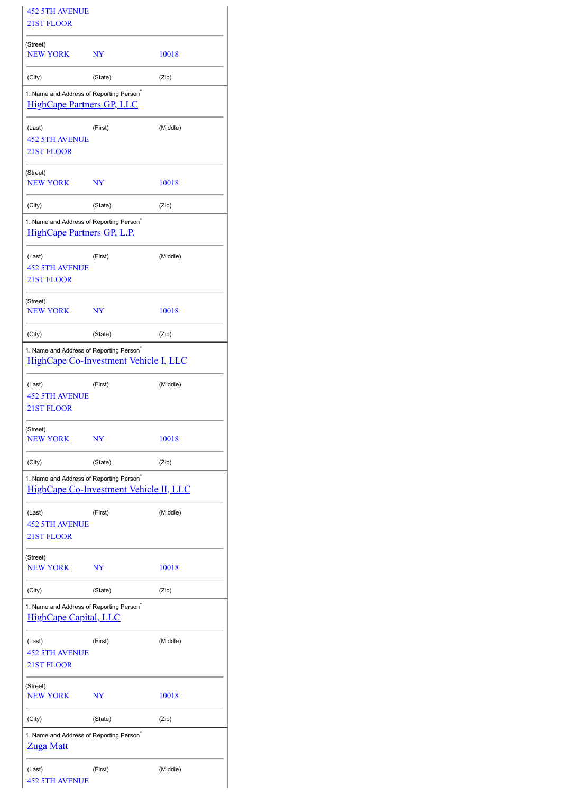| <b>452 5TH AVENUE</b>                                                                     |                                        |          |  |  |  |
|-------------------------------------------------------------------------------------------|----------------------------------------|----------|--|--|--|
| 21ST FLOOR                                                                                |                                        |          |  |  |  |
| (Street)<br><b>NEW YORK</b>                                                               | NY                                     | 10018    |  |  |  |
| (City)                                                                                    | (State)                                | (Zip)    |  |  |  |
| 1. Name and Address of Reporting Person <sup>®</sup><br><b>HighCape Partners GP, LLC</b>  |                                        |          |  |  |  |
| (Last)<br><b>452 5TH AVENUE</b><br>21ST FLOOR                                             | (First)                                | (Middle) |  |  |  |
| (Street)<br><b>NEW YORK</b>                                                               | NY                                     | 10018    |  |  |  |
| (City)                                                                                    | (State)                                | (Zip)    |  |  |  |
| 1. Name and Address of Reporting Person <sup>*</sup><br><b>HighCape Partners GP, L.P.</b> |                                        |          |  |  |  |
| (Last)<br><b>452 5TH AVENUE</b><br><b>21ST FLOOR</b>                                      | (First)                                | (Middle) |  |  |  |
| (Street)<br><b>NEW YORK</b>                                                               | NY                                     | 10018    |  |  |  |
| (City)                                                                                    | (State)                                | (Zip)    |  |  |  |
| 1. Name and Address of Reporting Person <sup>®</sup>                                      | HighCape Co-Investment Vehicle I, LLC  |          |  |  |  |
| (Last)<br><b>452 5TH AVENUE</b><br>21ST FLOOR                                             | (First)                                | (Middle) |  |  |  |
| (Street)<br><b>NEW YORK</b>                                                               | NY                                     | 10018    |  |  |  |
| (City)                                                                                    | (State)                                | (Zip)    |  |  |  |
| 1. Name and Address of Reporting Person <sup>®</sup>                                      | HighCape Co-Investment Vehicle II, LLC |          |  |  |  |
| (Last)<br><b>452 5TH AVENUE</b><br>21ST FLOOR                                             | (First)                                | (Middle) |  |  |  |
| (Street)<br>NEW YORK                                                                      | NY                                     | 10018    |  |  |  |
| (City)                                                                                    | (State)                                | (Zip)    |  |  |  |
| 1. Name and Address of Reporting Person <sup>*</sup><br><b>HighCape Capital, LLC</b>      |                                        |          |  |  |  |
| (Last)<br><b>452 5TH AVENUE</b><br>21ST FLOOR                                             | (First)                                | (Middle) |  |  |  |
| (Street)<br><b>NEW YORK</b>                                                               | NY                                     | 10018    |  |  |  |
| (City)                                                                                    | (State)                                | (Zip)    |  |  |  |
| 1. Name and Address of Reporting Person <sup>*</sup><br><b>Zuga Matt</b>                  |                                        |          |  |  |  |
| (Last)<br><b>452 5TH AVENUE</b>                                                           | (First)                                | (Middle) |  |  |  |